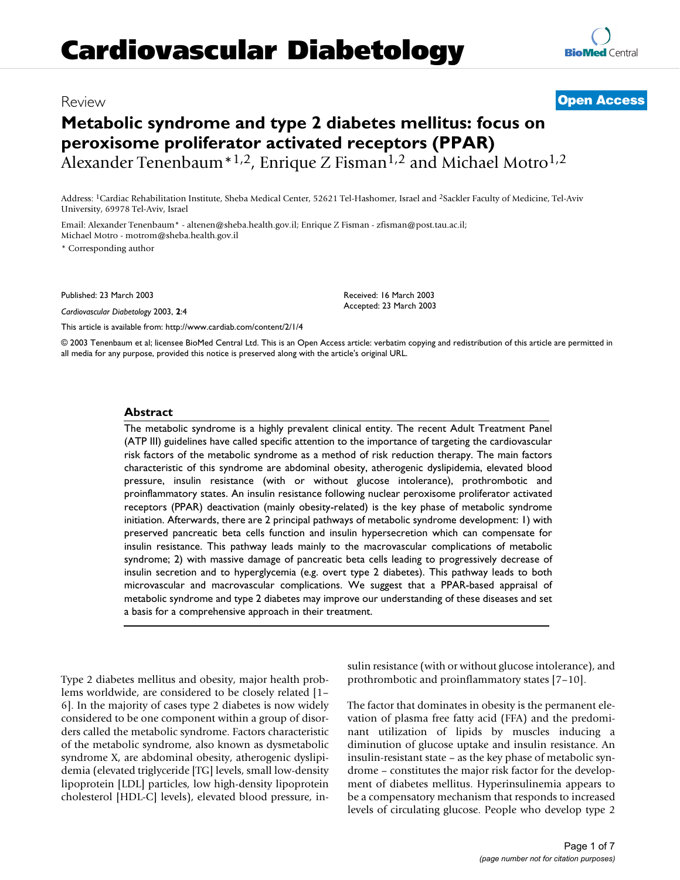## **Metabolic syndrome and type 2 diabetes mellitus: focus on peroxisome proliferator activated receptors (PPAR)** Alexander Tenenbaum<sup>\*1,2</sup>, Enrique Z Fisman<sup>1,2</sup> and Michael Motro<sup>1,2</sup>

Address: 1Cardiac Rehabilitation Institute, Sheba Medical Center, 52621 Tel-Hashomer, Israel and 2Sackler Faculty of Medicine, Tel-Aviv University, 69978 Tel-Aviv, Israel

Email: Alexander Tenenbaum\* - altenen@sheba.health.gov.il; Enrique Z Fisman - zfisman@post.tau.ac.il; Michael Motro - motrom@sheba.health.gov.il

\* Corresponding author

Published: 23 March 2003

*Cardiovascular Diabetology* 2003, **2**:4

[This article is available from: http://www.cardiab.com/content/2/1/4](http://www.cardiab.com/content/2/1/4)

© 2003 Tenenbaum et al; licensee BioMed Central Ltd. This is an Open Access article: verbatim copying and redistribution of this article are permitted in all media for any purpose, provided this notice is preserved along with the article's original URL.

#### **Abstract**

The metabolic syndrome is a highly prevalent clinical entity. The recent Adult Treatment Panel (ATP III) guidelines have called specific attention to the importance of targeting the cardiovascular risk factors of the metabolic syndrome as a method of risk reduction therapy. The main factors characteristic of this syndrome are abdominal obesity, atherogenic dyslipidemia, elevated blood pressure, insulin resistance (with or without glucose intolerance), prothrombotic and proinflammatory states. An insulin resistance following nuclear peroxisome proliferator activated receptors (PPAR) deactivation (mainly obesity-related) is the key phase of metabolic syndrome initiation. Afterwards, there are 2 principal pathways of metabolic syndrome development: 1) with preserved pancreatic beta cells function and insulin hypersecretion which can compensate for insulin resistance. This pathway leads mainly to the macrovascular complications of metabolic syndrome; 2) with massive damage of pancreatic beta cells leading to progressively decrease of insulin secretion and to hyperglycemia (e.g. overt type 2 diabetes). This pathway leads to both microvascular and macrovascular complications. We suggest that a PPAR-based appraisal of metabolic syndrome and type 2 diabetes may improve our understanding of these diseases and set a basis for a comprehensive approach in their treatment.

Type 2 diabetes mellitus and obesity, major health problems worldwide, are considered to be closely related [1– 6]. In the majority of cases type 2 diabetes is now widely considered to be one component within a group of disorders called the metabolic syndrome. Factors characteristic of the metabolic syndrome, also known as dysmetabolic syndrome X, are abdominal obesity, atherogenic dyslipidemia (elevated triglyceride [TG] levels, small low-density lipoprotein [LDL] particles, low high-density lipoprotein cholesterol [HDL-C] levels), elevated blood pressure, insulin resistance (with or without glucose intolerance), and prothrombotic and proinflammatory states [7[–10](#page-6-0)].

The factor that dominates in obesity is the permanent elevation of plasma free fatty acid (FFA) and the predominant utilization of lipids by muscles inducing a diminution of glucose uptake and insulin resistance. An insulin-resistant state – as the key phase of metabolic syndrome – constitutes the major risk factor for the development of diabetes mellitus. Hyperinsulinemia appears to be a compensatory mechanism that responds to increased levels of circulating glucose. People who develop type 2



Received: 16 March 2003 Accepted: 23 March 2003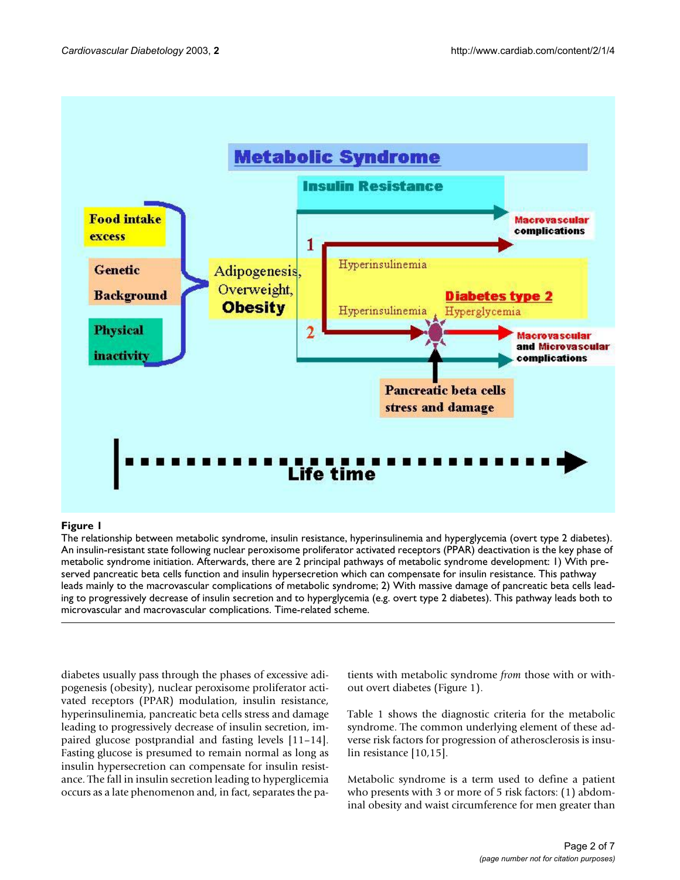

#### **Figure 1**

The relationship between metabolic syndrome, insulin resistance, hyperinsulinemia and hyperglycemia (overt type 2 diabetes). An insulin-resistant state following nuclear peroxisome proliferator activated receptors (PPAR) deactivation is the key phase of metabolic syndrome initiation. Afterwards, there are 2 principal pathways of metabolic syndrome development: 1) With preserved pancreatic beta cells function and insulin hypersecretion which can compensate for insulin resistance. This pathway leads mainly to the macrovascular complications of metabolic syndrome; 2) With massive damage of pancreatic beta cells leading to progressively decrease of insulin secretion and to hyperglycemia (e.g. overt type 2 diabetes). This pathway leads both to microvascular and macrovascular complications. Time-related scheme.

diabetes usually pass through the phases of excessive adipogenesis (obesity), nuclear peroxisome proliferator activated receptors (PPAR) modulation, insulin resistance, hyperinsulinemia, pancreatic beta cells stress and damage leading to progressively decrease of insulin secretion, impaired glucose postprandial and fasting levels [11–14]. Fasting glucose is presumed to remain normal as long as insulin hypersecretion can compensate for insulin resistance. The fall in insulin secretion leading to hyperglicemia occurs as a late phenomenon and, in fact, separates the patients with metabolic syndrome *from* those with or without overt diabetes (Figure 1).

Table [1](#page-2-0) shows the diagnostic criteria for the metabolic syndrome. The common underlying element of these adverse risk factors for progression of atherosclerosis is insulin resistance [[10](#page-6-0),15].

Metabolic syndrome is a term used to define a patient who presents with 3 or more of 5 risk factors: (1) abdominal obesity and waist circumference for men greater than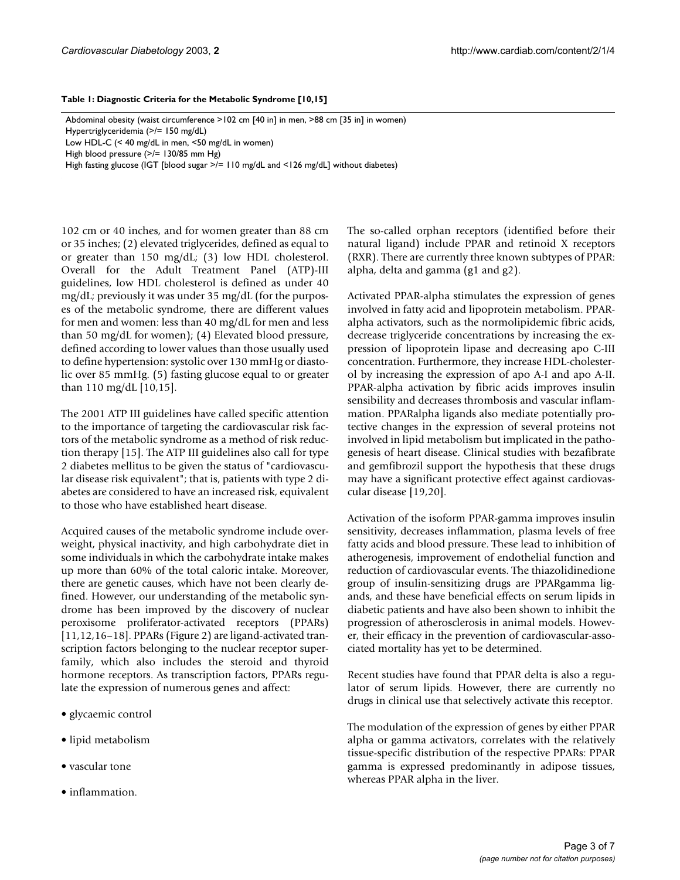#### <span id="page-2-0"></span>**Table 1: Diagnostic Criteria for the Metabolic Syndrome [[10](#page-6-0),15]**

Abdominal obesity (waist circumference >102 cm [40 in] in men, >88 cm [35 in] in women) Hypertriglyceridemia (>/= 150 mg/dL) Low HDL-C (< 40 mg/dL in men, <50 mg/dL in women) High blood pressure (>/= 130/85 mm Hg) High fasting glucose (IGT [blood sugar >/= 110 mg/dL and <126 mg/dL] without diabetes)

102 cm or 40 inches, and for women greater than 88 cm or 35 inches; (2) elevated triglycerides, defined as equal to or greater than 150 mg/dL; (3) low HDL cholesterol. Overall for the Adult Treatment Panel (ATP)-III guidelines, low HDL cholesterol is defined as under 40 mg/dL; previously it was under 35 mg/dL (for the purposes of the metabolic syndrome, there are different values for men and women: less than 40 mg/dL for men and less than 50 mg/dL for women); (4) Elevated blood pressure, defined according to lower values than those usually used to define hypertension: systolic over 130 mmHg or diastolic over 85 mmHg. (5) fasting glucose equal to or greater than 110 mg/dL [\[10](#page-6-0),15].

The 2001 ATP III guidelines have called specific attention to the importance of targeting the cardiovascular risk factors of the metabolic syndrome as a method of risk reduction therapy [15]. The ATP III guidelines also call for type 2 diabetes mellitus to be given the status of "cardiovascular disease risk equivalent"; that is, patients with type 2 diabetes are considered to have an increased risk, equivalent to those who have established heart disease.

Acquired causes of the metabolic syndrome include overweight, physical inactivity, and high carbohydrate diet in some individuals in which the carbohydrate intake makes up more than 60% of the total caloric intake. Moreover, there are genetic causes, which have not been clearly defined. However, our understanding of the metabolic syndrome has been improved by the discovery of nuclear peroxisome proliferator-activated receptors (PPARs) [11,12,16–18]. PPARs (Figure [2\)](#page-3-0) are ligand-activated transcription factors belonging to the nuclear receptor superfamily, which also includes the steroid and thyroid hormone receptors. As transcription factors, PPARs regulate the expression of numerous genes and affect:

- glycaemic control
- lipid metabolism
- vascular tone
- inflammation.

The so-called orphan receptors (identified before their natural ligand) include PPAR and retinoid X receptors (RXR). There are currently three known subtypes of PPAR: alpha, delta and gamma (g1 and g2).

Activated PPAR-alpha stimulates the expression of genes involved in fatty acid and lipoprotein metabolism. PPARalpha activators, such as the normolipidemic fibric acids, decrease triglyceride concentrations by increasing the expression of lipoprotein lipase and decreasing apo C-III concentration. Furthermore, they increase HDL-cholesterol by increasing the expression of apo A-I and apo A-II. PPAR-alpha activation by fibric acids improves insulin sensibility and decreases thrombosis and vascular inflammation. PPARalpha ligands also mediate potentially protective changes in the expression of several proteins not involved in lipid metabolism but implicated in the pathogenesis of heart disease. Clinical studies with bezafibrate and gemfibrozil support the hypothesis that these drugs may have a significant protective effect against cardiovascular disease [19,20].

Activation of the isoform PPAR-gamma improves insulin sensitivity, decreases inflammation, plasma levels of free fatty acids and blood pressure. These lead to inhibition of atherogenesis, improvement of endothelial function and reduction of cardiovascular events. The thiazolidinedione group of insulin-sensitizing drugs are PPARgamma ligands, and these have beneficial effects on serum lipids in diabetic patients and have also been shown to inhibit the progression of atherosclerosis in animal models. However, their efficacy in the prevention of cardiovascular-associated mortality has yet to be determined.

Recent studies have found that PPAR delta is also a regulator of serum lipids. However, there are currently no drugs in clinical use that selectively activate this receptor.

The modulation of the expression of genes by either PPAR alpha or gamma activators, correlates with the relatively tissue-specific distribution of the respective PPARs: PPAR gamma is expressed predominantly in adipose tissues, whereas PPAR alpha in the liver.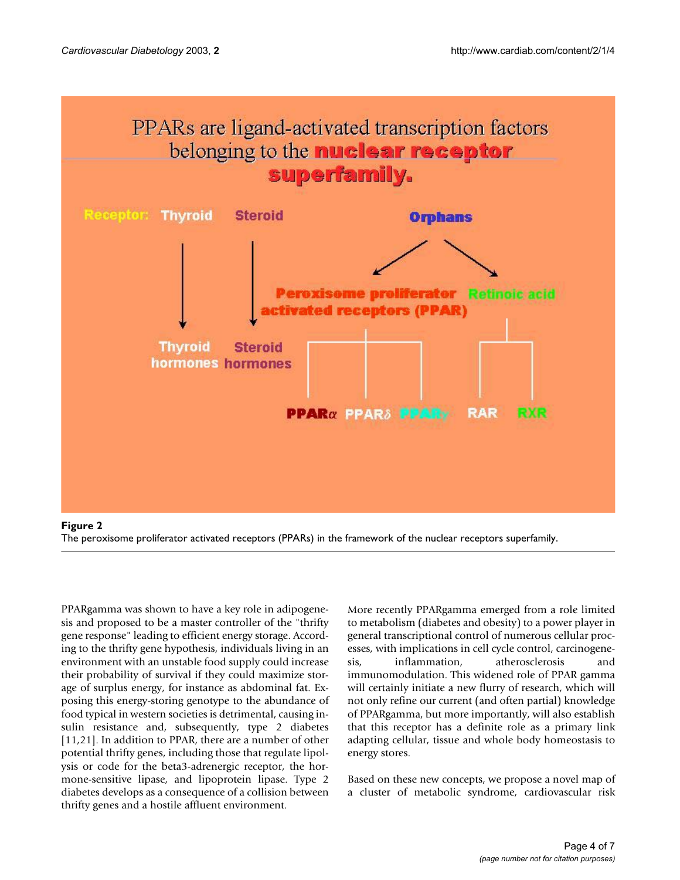<span id="page-3-0"></span>

The peroxisome proliferator activated receptors (PPARs) in the framework of the nuclear receptors superfamily.

PPARgamma was shown to have a key role in adipogenesis and proposed to be a master controller of the "thrifty gene response" leading to efficient energy storage. According to the thrifty gene hypothesis, individuals living in an environment with an unstable food supply could increase their probability of survival if they could maximize storage of surplus energy, for instance as abdominal fat. Exposing this energy-storing genotype to the abundance of food typical in western societies is detrimental, causing insulin resistance and, subsequently, type 2 diabetes [11,21]. In addition to PPAR, there are a number of other potential thrifty genes, including those that regulate lipolysis or code for the beta3-adrenergic receptor, the hormone-sensitive lipase, and lipoprotein lipase. Type 2 diabetes develops as a consequence of a collision between thrifty genes and a hostile affluent environment.

More recently PPARgamma emerged from a role limited to metabolism (diabetes and obesity) to a power player in general transcriptional control of numerous cellular processes, with implications in cell cycle control, carcinogenesis, inflammation, atherosclerosis and immunomodulation. This widened role of PPAR gamma will certainly initiate a new flurry of research, which will not only refine our current (and often partial) knowledge of PPARgamma, but more importantly, will also establish that this receptor has a definite role as a primary link adapting cellular, tissue and whole body homeostasis to energy stores.

Based on these new concepts, we propose a novel map of a cluster of metabolic syndrome, cardiovascular risk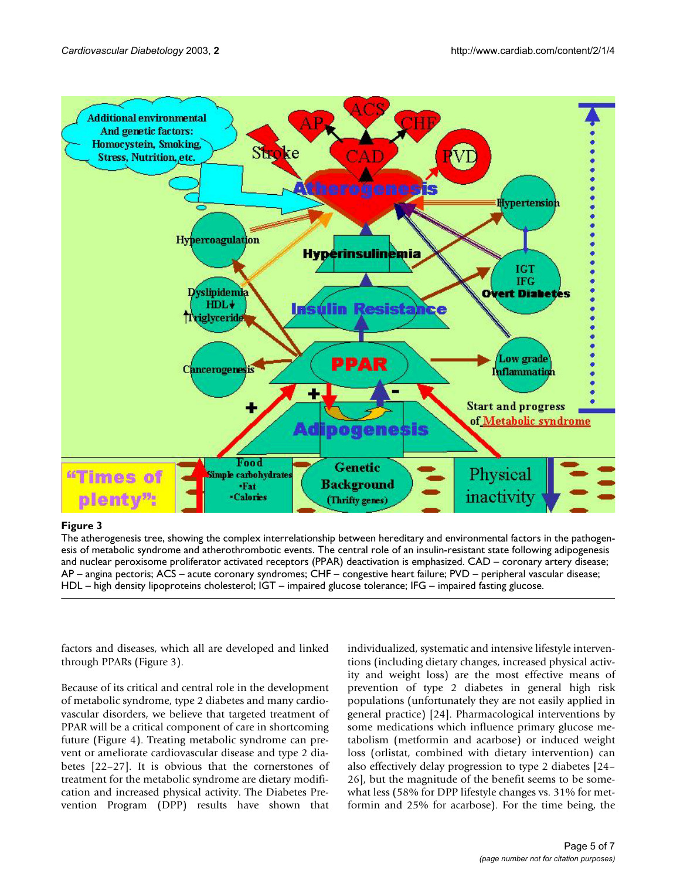

### **Figure 3**

The atherogenesis tree, showing the complex interrelationship between hereditary and environmental factors in the pathogenesis of metabolic syndrome and atherothrombotic events. The central role of an insulin-resistant state following adipogenesis and nuclear peroxisome proliferator activated receptors (PPAR) deactivation is emphasized. CAD – coronary artery disease; AP – angina pectoris; ACS – acute coronary syndromes; CHF – congestive heart failure; PVD – peripheral vascular disease; HDL – high density lipoproteins cholesterol; IGT – impaired glucose tolerance; IFG – impaired fasting glucose.

factors and diseases, which all are developed and linked through PPARs (Figure 3).

Because of its critical and central role in the development of metabolic syndrome, type 2 diabetes and many cardiovascular disorders, we believe that targeted treatment of PPAR will be a critical component of care in shortcoming future (Figure 4). Treating metabolic syndrome can prevent or ameliorate cardiovascular disease and type 2 diabetes [22–27]. It is obvious that the cornerstones of treatment for the metabolic syndrome are dietary modification and increased physical activity. The Diabetes Prevention Program (DPP) results have shown that individualized, systematic and intensive lifestyle interventions (including dietary changes, increased physical activity and weight loss) are the most effective means of prevention of type 2 diabetes in general high risk populations (unfortunately they are not easily applied in general practice) [24]. Pharmacological interventions by some medications which influence primary glucose metabolism (metformin and acarbose) or induced weight loss (orlistat, combined with dietary intervention) can also effectively delay progression to type 2 diabetes [24– 26], but the magnitude of the benefit seems to be somewhat less (58% for DPP lifestyle changes vs. 31% for metformin and 25% for acarbose). For the time being, the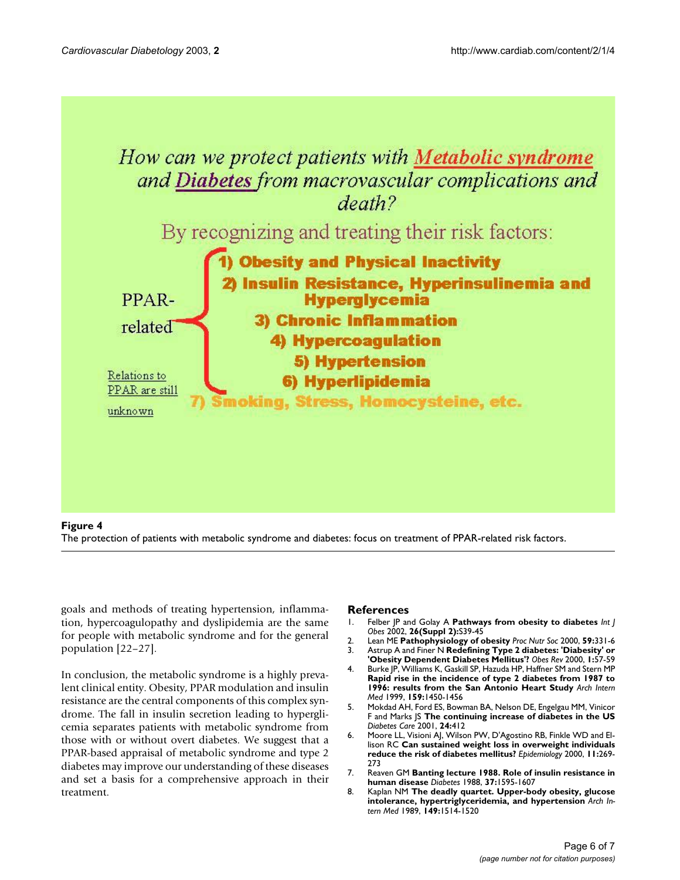

#### **Figure 4** The protection of patients with metabolic syndrome and diabetes: focus on treatment of PPAR-related risk factors.

goals and methods of treating hypertension, inflammation, hypercoagulopathy and dyslipidemia are the same for people with metabolic syndrome and for the general population [22–27].

In conclusion, the metabolic syndrome is a highly prevalent clinical entity. Obesity, PPAR modulation and insulin resistance are the central components of this complex syndrome. The fall in insulin secretion leading to hyperglicemia separates patients with metabolic syndrome from those with or without overt diabetes. We suggest that a PPAR-based appraisal of metabolic syndrome and type 2 diabetes may improve our understanding of these diseases and set a basis for a comprehensive approach in their treatment.

# **References**<br>1. Felber |P ar

- 1. Felber JP and Golay A **[Pathways from obesity to diabetes](http://www.ncbi.nlm.nih.gov/entrez/query.fcgi?cmd=Retrieve&db=PubMed&dopt=Abstract&list_uids=10.1038/sj.ijo.0802126)** *Int J Obes* 2002, **26(Suppl 2):**S39-45
- 2. Lean ME **[Pathophysiology of obesity](http://www.ncbi.nlm.nih.gov/entrez/query.fcgi?cmd=Retrieve&db=PubMed&dopt=Abstract&list_uids=10997648)** *Proc Nutr Soc* 2000, **59:**331-6
- 3. Astrup A and Finer N **[Redefining Type 2 diabetes: 'Diabesity' or](http://www.ncbi.nlm.nih.gov/entrez/query.fcgi?cmd=Retrieve&db=PubMed&dopt=Abstract&list_uids=12119987) ['Obesity Dependent Diabetes Mellitus'?](http://www.ncbi.nlm.nih.gov/entrez/query.fcgi?cmd=Retrieve&db=PubMed&dopt=Abstract&list_uids=12119987)** *Obes Rev* 2000, **1:**57-59
- 4. Burke JP, Williams K, Gaskill SP, Hazuda HP, Haffner SM and Stern MP **[Rapid rise in the incidence of type 2 diabetes from 1987 to](http://www.ncbi.nlm.nih.gov/entrez/query.fcgi?cmd=Retrieve&db=PubMed&dopt=Abstract&list_uids=10399896) [1996: results from the San Antonio Heart Study](http://www.ncbi.nlm.nih.gov/entrez/query.fcgi?cmd=Retrieve&db=PubMed&dopt=Abstract&list_uids=10399896)** *Arch Intern Med* 1999, **159:**1450-1456
- 5. Mokdad AH, Ford ES, Bowman BA, Nelson DE, Engelgau MM, Vinicor F and Marks JS **[The continuing increase of diabetes in the US](http://www.ncbi.nlm.nih.gov/entrez/query.fcgi?cmd=Retrieve&db=PubMed&dopt=Abstract&list_uids=11213906)** *Diabetes Care* 2001, **24:**412
- 6. Moore LL, Visioni AJ, Wilson PW, D'Agostino RB, Finkle WD and Ellison RC **[Can sustained weight loss in overweight individuals](http://www.ncbi.nlm.nih.gov/entrez/query.fcgi?cmd=Retrieve&db=PubMed&dopt=Abstract&list_uids=10784242) [reduce the risk of diabetes mellitus?](http://www.ncbi.nlm.nih.gov/entrez/query.fcgi?cmd=Retrieve&db=PubMed&dopt=Abstract&list_uids=10784242)** *Epidemiology* 2000, **11:**269- 273
- 7. Reaven GM **[Banting lecture 1988. Role of insulin resistance in](http://www.ncbi.nlm.nih.gov/entrez/query.fcgi?cmd=Retrieve&db=PubMed&dopt=Abstract&list_uids=3056758) [human disease](http://www.ncbi.nlm.nih.gov/entrez/query.fcgi?cmd=Retrieve&db=PubMed&dopt=Abstract&list_uids=3056758)** *Diabetes* 1988, **37:**1595-1607
- 8. Kaplan NM **[The deadly quartet. Upper-body obesity, glucose](http://www.ncbi.nlm.nih.gov/entrez/query.fcgi?cmd=Retrieve&db=PubMed&dopt=Abstract&list_uids=2662932) [intolerance, hypertriglyceridemia, and hypertension](http://www.ncbi.nlm.nih.gov/entrez/query.fcgi?cmd=Retrieve&db=PubMed&dopt=Abstract&list_uids=2662932)** *Arch Intern Med* 1989, **149:**1514-1520